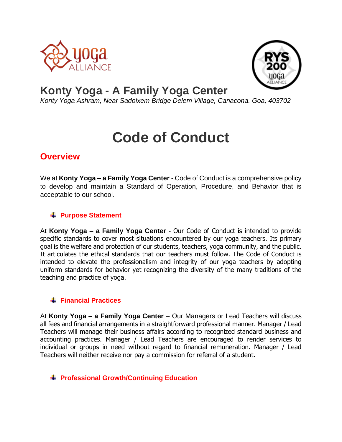



## **Konty Yoga - A Family Yoga Center**

*Konty Yoga Ashram, Near Sadolxem Bridge Delem Village, Canacona. Goa, 403702*

# **Code of Conduct**

### **Overview**

We at **Konty Yoga – a Family Yoga Center** - Code of Conduct is a comprehensive policy to develop and maintain a Standard of Operation, Procedure, and Behavior that is acceptable to our school.

#### **Purpose Statement**

At **Konty Yoga – a Family Yoga Center** - Our Code of Conduct is intended to provide specific standards to cover most situations encountered by our yoga teachers. Its primary goal is the welfare and protection of our students, teachers, yoga community, and the public. It articulates the ethical standards that our teachers must follow. The Code of Conduct is intended to elevate the professionalism and integrity of our yoga teachers by adopting uniform standards for behavior yet recognizing the diversity of the many traditions of the teaching and practice of yoga.

#### **Financial Practices**

At **Konty Yoga – a Family Yoga Center** – Our Managers or Lead Teachers will discuss all fees and financial arrangements in a straightforward professional manner. Manager / Lead Teachers will manage their business affairs according to recognized standard business and accounting practices. Manager / Lead Teachers are encouraged to render services to individual or groups in need without regard to financial remuneration. Manager / Lead Teachers will neither receive nor pay a commission for referral of a student.

#### **Professional Growth/Continuing Education**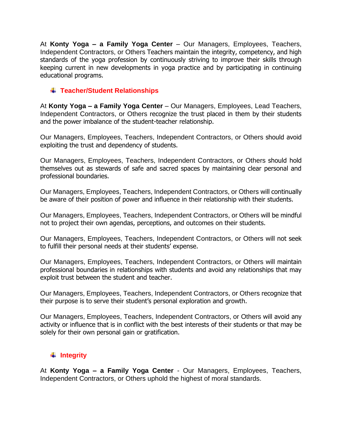At **Konty Yoga – a Family Yoga Center** – Our Managers, Employees, Teachers, Independent Contractors, or Others Teachers maintain the integrity, competency, and high standards of the yoga profession by continuously striving to improve their skills through keeping current in new developments in yoga practice and by participating in continuing educational programs.

#### **Teacher/Student Relationships**

At **Konty Yoga – a Family Yoga Center** – Our Managers, Employees, Lead Teachers, Independent Contractors, or Others recognize the trust placed in them by their students and the power imbalance of the student-teacher relationship.

Our Managers, Employees, Teachers, Independent Contractors, or Others should avoid exploiting the trust and dependency of students.

Our Managers, Employees, Teachers, Independent Contractors, or Others should hold themselves out as stewards of safe and sacred spaces by maintaining clear personal and professional boundaries.

Our Managers, Employees, Teachers, Independent Contractors, or Others will continually be aware of their position of power and influence in their relationship with their students.

Our Managers, Employees, Teachers, Independent Contractors, or Others will be mindful not to project their own agendas, perceptions, and outcomes on their students.

Our Managers, Employees, Teachers, Independent Contractors, or Others will not seek to fulfill their personal needs at their students' expense.

Our Managers, Employees, Teachers, Independent Contractors, or Others will maintain professional boundaries in relationships with students and avoid any relationships that may exploit trust between the student and teacher.

Our Managers, Employees, Teachers, Independent Contractors, or Others recognize that their purpose is to serve their student's personal exploration and growth.

Our Managers, Employees, Teachers, Independent Contractors, or Others will avoid any activity or influence that is in conflict with the best interests of their students or that may be solely for their own personal gain or gratification.

#### $\textcolor{red}{\textbf{#}}$  Integrity

At **Konty Yoga – a Family Yoga Center** - Our Managers, Employees, Teachers, Independent Contractors, or Others uphold the highest of moral standards.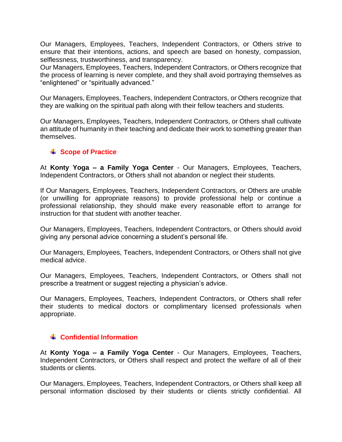Our Managers, Employees, Teachers, Independent Contractors, or Others strive to ensure that their intentions, actions, and speech are based on honesty, compassion, selflessness, trustworthiness, and transparency.

Our Managers, Employees, Teachers, Independent Contractors, or Others recognize that the process of learning is never complete, and they shall avoid portraying themselves as "enlightened" or "spiritually advanced."

Our Managers, Employees, Teachers, Independent Contractors, or Others recognize that they are walking on the spiritual path along with their fellow teachers and students.

Our Managers, Employees, Teachers, Independent Contractors, or Others shall cultivate an attitude of humanity in their teaching and dedicate their work to something greater than themselves.

#### **Scope of Practice**

At **Konty Yoga – a Family Yoga Center** - Our Managers, Employees, Teachers, Independent Contractors, or Others shall not abandon or neglect their students.

If Our Managers, Employees, Teachers, Independent Contractors, or Others are unable (or unwilling for appropriate reasons) to provide professional help or continue a professional relationship, they should make every reasonable effort to arrange for instruction for that student with another teacher.

Our Managers, Employees, Teachers, Independent Contractors, or Others should avoid giving any personal advice concerning a student's personal life.

Our Managers, Employees, Teachers, Independent Contractors, or Others shall not give medical advice.

Our Managers, Employees, Teachers, Independent Contractors, or Others shall not prescribe a treatment or suggest rejecting a physician's advice.

Our Managers, Employees, Teachers, Independent Contractors, or Others shall refer their students to medical doctors or complimentary licensed professionals when appropriate.

#### **Confidential Information**

At **Konty Yoga – a Family Yoga Center** - Our Managers, Employees, Teachers, Independent Contractors, or Others shall respect and protect the welfare of all of their students or clients.

Our Managers, Employees, Teachers, Independent Contractors, or Others shall keep all personal information disclosed by their students or clients strictly confidential. All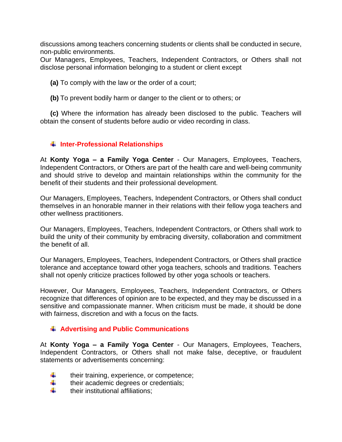discussions among teachers concerning students or clients shall be conducted in secure, non-public environments.

Our Managers, Employees, Teachers, Independent Contractors, or Others shall not disclose personal information belonging to a student or client except

**(a)** To comply with the law or the order of a court;

**(b)** To prevent bodily harm or danger to the client or to others; or

**(c)** Where the information has already been disclosed to the public. Teachers will obtain the consent of students before audio or video recording in class.

#### **Inter-Professional Relationships**

At **Konty Yoga – a Family Yoga Center** - Our Managers, Employees, Teachers, Independent Contractors, or Others are part of the health care and well-being community and should strive to develop and maintain relationships within the community for the benefit of their students and their professional development.

Our Managers, Employees, Teachers, Independent Contractors, or Others shall conduct themselves in an honorable manner in their relations with their fellow yoga teachers and other wellness practitioners.

Our Managers, Employees, Teachers, Independent Contractors, or Others shall work to build the unity of their community by embracing diversity, collaboration and commitment the benefit of all.

Our Managers, Employees, Teachers, Independent Contractors, or Others shall practice tolerance and acceptance toward other yoga teachers, schools and traditions. Teachers shall not openly criticize practices followed by other yoga schools or teachers.

However, Our Managers, Employees, Teachers, Independent Contractors, or Others recognize that differences of opinion are to be expected, and they may be discussed in a sensitive and compassionate manner. When criticism must be made, it should be done with fairness, discretion and with a focus on the facts.

#### **Advertising and Public Communications**

At **Konty Yoga – a Family Yoga Center** - Our Managers, Employees, Teachers, Independent Contractors, or Others shall not make false, deceptive, or fraudulent statements or advertisements concerning:

- ۰. their training, experience, or competence;
- ۰. their academic degrees or credentials;
- ₩. their institutional affiliations;